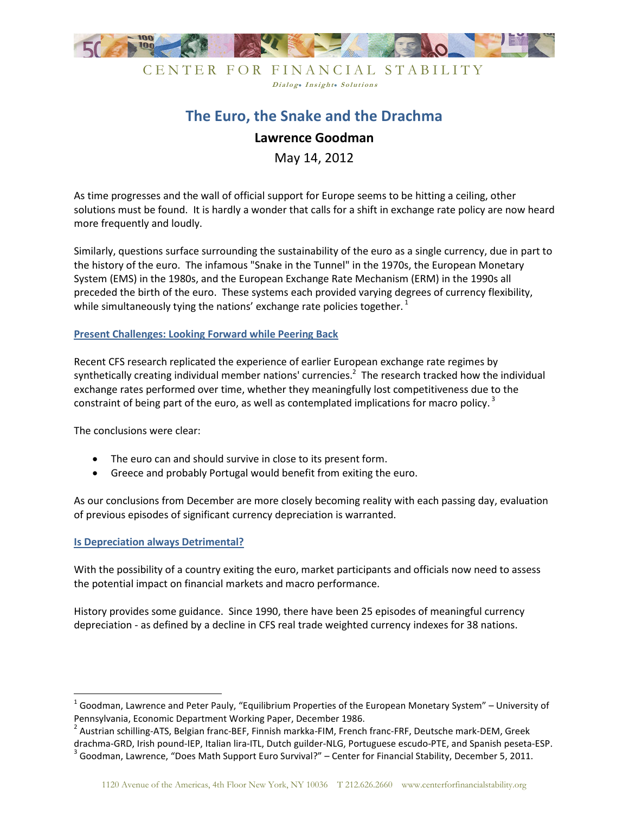

## CENTER FOR FINANCIAL STABILITY Dialog. Insight. Solutions

# **The Euro, the Snake and the Drachma**

# **Lawrence Goodman**

May 14, 2012

As time progresses and the wall of official support for Europe seems to be hitting a ceiling, other solutions must be found. It is hardly a wonder that calls for a shift in exchange rate policy are now heard more frequently and loudly.

Similarly, questions surface surrounding the sustainability of the euro as a single currency, due in part to the history of the euro. The infamous "Snake in the Tunnel" in the 1970s, the European Monetary System (EMS) in the 1980s, and the European Exchange Rate Mechanism (ERM) in the 1990s all preceded the birth of the euro. These systems each provided varying degrees of currency flexibility, while simultaneously tying the nations' exchange rate policies together.<sup>1</sup>

#### **Present Challenges: Looking Forward while Peering Back**

Recent CFS research replicated the experience of earlier European exchange rate regimes by synthetically creating individual member nations' currencies. $^2$  The research tracked how the individual exchange rates performed over time, whether they meaningfully lost competitiveness due to the constraint of being part of the euro, as well as contemplated implications for macro policy.<sup>3</sup>

The conclusions were clear:

- The euro can and should survive in close to its present form.
- Greece and probably Portugal would benefit from exiting the euro.

As our conclusions from December are more closely becoming reality with each passing day, evaluation of previous episodes of significant currency depreciation is warranted.

### **Is Depreciation always Detrimental?**

l

With the possibility of a country exiting the euro, market participants and officials now need to assess the potential impact on financial markets and macro performance.

History provides some guidance. Since 1990, there have been 25 episodes of meaningful currency depreciation - as defined by a decline in CFS real trade weighted currency indexes for 38 nations.

<sup>&</sup>lt;sup>1</sup> Goodman, Lawrence and Peter Pauly, "Equilibrium Properties of the European Monetary System" – University of Pennsylvania, Economic Department Working Paper, December 1986.

<sup>&</sup>lt;sup>2</sup> Austrian schilling-ATS, Belgian franc-BEF, Finnish markka-FIM, French franc-FRF, Deutsche mark-DEM, Greek drachma-GRD, Irish pound-IEP, Italian lira-ITL, Dutch guilder-NLG, Portuguese escudo-PTE, and Spanish peseta-ESP.

 $3$  Goodman, Lawrence, "Does Math Support Euro Survival?" – Center for Financial Stability, December 5, 2011.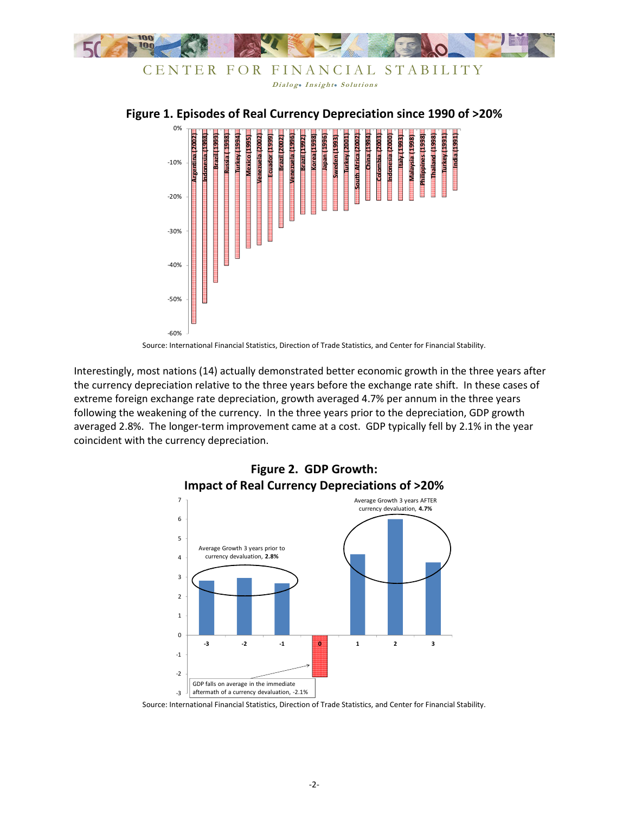



Source: International Financial Statistics, Direction of Trade Statistics, and Center for Financial Stability.

Interestingly, most nations (14) actually demonstrated better economic growth in the three years after the currency depreciation relative to the three years before the exchange rate shift. In these cases of extreme foreign exchange rate depreciation, growth averaged 4.7% per annum in the three years following the weakening of the currency. In the three years prior to the depreciation, GDP growth averaged 2.8%. The longer-term improvement came at a cost. GDP typically fell by 2.1% in the year coincident with the currency depreciation.